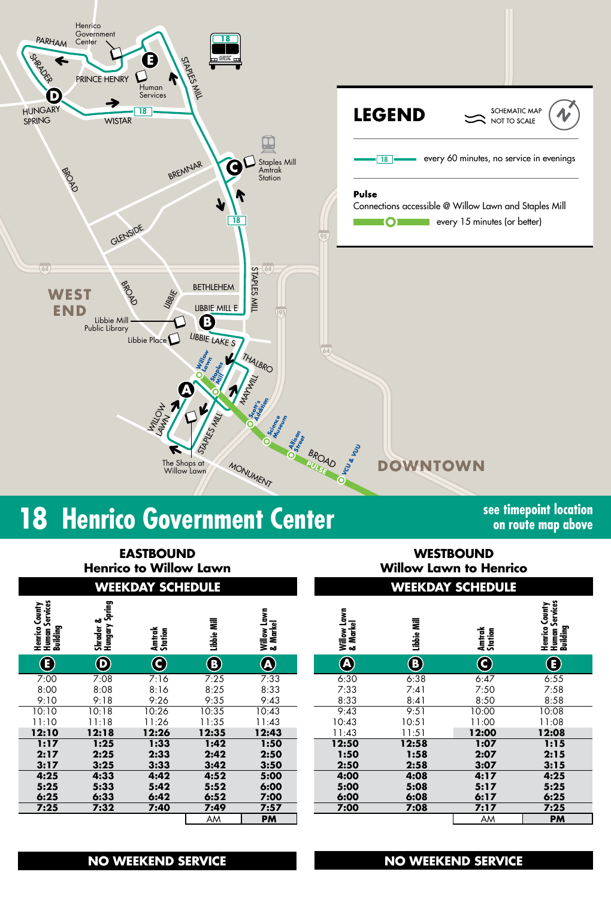

# **18** Henrico Government Center<br> **18 Henrico Government Center See timepoint location**

**on route map above**

| <b>EASTBOUND</b><br><b>Henrico to Willow Lawn</b><br><b>WEEKDAY SCHEDULE</b> |         |                   |            |                |  | <b>WESTBOUND</b><br><b>Willow Lawn to Henrico</b><br><b>WEEKDAY SCHEDULE</b> |                            |           |             |  |  |
|------------------------------------------------------------------------------|---------|-------------------|------------|----------------|--|------------------------------------------------------------------------------|----------------------------|-----------|-------------|--|--|
|                                                                              |         |                   |            |                |  |                                                                              |                            |           |             |  |  |
| $\bf \bf E$                                                                  | $\odot$ | $\mathbf{\Theta}$ | $\bigcirc$ | $\bigcircledA$ |  | $\left( {\bf A} \right)$                                                     | $\left( \mathbf{B}\right)$ | C         | $\bf \bf E$ |  |  |
| 7:00                                                                         | 7:08    | 7:16              | 7:25       | 7:33           |  | 6:30                                                                         | 6:38                       | 6:47      | 6:55        |  |  |
| 8:00                                                                         | 8:08    | 8:16              | 8:25       | 8:33           |  | 7:33                                                                         | 7:41                       | 7:50      | 7:58        |  |  |
| 9:10                                                                         | 9:18    | 9:26              | 9:35       | 9:43           |  | 8:33                                                                         | 8:41                       | 8:50      | 8:58        |  |  |
| 10:10                                                                        | 10:18   | 10:26             | 10:35      | 10:43          |  | 9:43                                                                         | 9:51                       | 10:00     | 10:08       |  |  |
| 11:10                                                                        | 11:18   | 11:26             | 11:35      | 11:43          |  | 10:43                                                                        | 10:51                      | 11:00     | 11:08       |  |  |
| 12:10                                                                        | 12:18   | 12:26             | 12:35      | 12:43          |  | 11:43                                                                        | 11:51                      | 12:00     | 12:08       |  |  |
| 1:17                                                                         | 1:25    | 1:33              | 1:42       | 1:50           |  | 12:50                                                                        | 12:58                      | 1:07      | 1:15        |  |  |
| 2:17                                                                         | 2:25    | 2:33              | 2:42       | 2:50           |  | 1:50                                                                         | 1:58                       | 2:07      | 2:15        |  |  |
| 3:17                                                                         | 3:25    | 3:33              | 3:42       | 3:50           |  | 2:50                                                                         | 2:58                       | 3:07      | 3:15        |  |  |
| 4:25                                                                         | 4:33    | 4:42              | 4:52       | 5:00           |  | 4:00                                                                         | 4:08                       | 4:17      | 4:25        |  |  |
| 5:25                                                                         | 5:33    | 5:42              | 5:52       | 6:00           |  | 5:00                                                                         | 5:08                       | 5:17      | 5:25        |  |  |
| 6:25                                                                         | 6:33    | 6:42              | 6:52       | 7:00           |  | 6:00                                                                         | 6:08                       | 6:17      | 6:25        |  |  |
| 7:25                                                                         | 7:32    | 7:40              | 7:49       | 7:57           |  | 7:00                                                                         | 7:08                       | 7:17      | 7:25        |  |  |
| AM<br><b>PM</b>                                                              |         |                   |            |                |  |                                                                              |                            | <b>AM</b> | <b>PM</b>   |  |  |

# **NO WEEKEND SERVICE NO WEEKEND SERVICE**